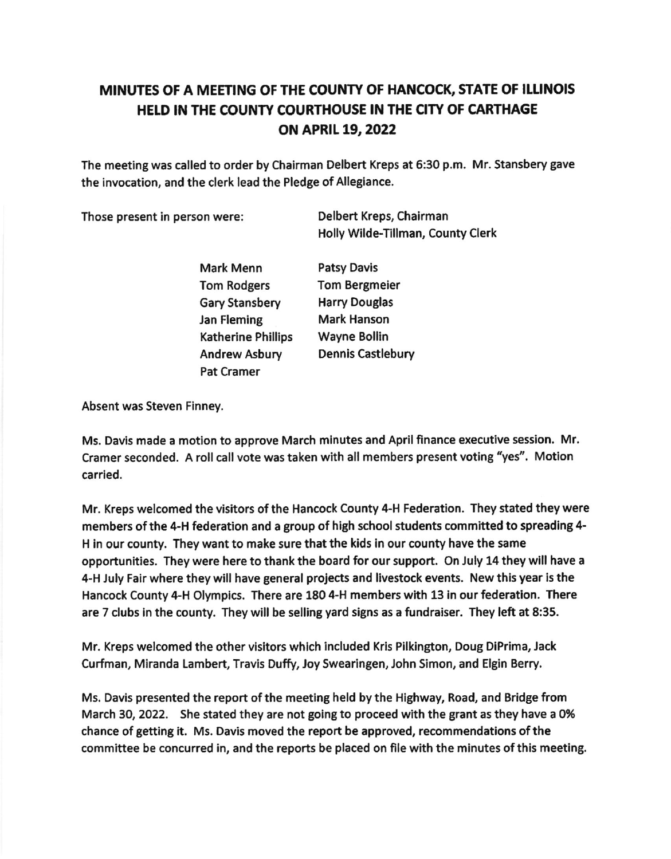## MINUTES OF A MEETING OF THE COUNTY OF HANCOCK, STATE OF ILLINOIS HELD IN THE COUNTY COURTHOUSE IN THE CITY OF CARTHAGE oN APRII 19,2022

The meeting was called to order by Chairman Delbert Kreps at 6:30 p.m. Mr. Stansbery gave the invocation, and the clerk lead the Pledge of Allegiance.

Those present in person were: Delbert Kreps, Chalrman

Holly Wlde-Tillman, County Clerk

Mark Menn Tom Rodgers Gary Stansbery Jan Fleming Katherine Phillips Andrew Asbury Pat Cramer

Patsy Davis Tom Bergmeier Harry Douglas Mark Hanson Wayne Bollin Dennis Castlebury

Absent was Steven Finney.

Ms. Davis made a motion to approve March mlnutes and April flnance executive session. Mr. Cramer seconded. A roll call vote was taken with all members present voting "yes". Motion carried.

Mr. Kreps welcomed the visitors of the Hancock County 4-H Federation. They stated they were members of the 4-H federation and a group of high school students committed to spreading 4-H in our county, They want to make sure that the kids in our county have the same opportunities. They were here to thank the board for our support. On July 14 they will have a 4-H July Fair where they will have general projects and livestock events. New this year is the Hancock County 4-H Olympics. There are 180 4-H members with 13 in our federation. There are 7 clubs in the county. They will be selling yard signs as a fundraiser. They left at 8:35.

Mr. Kreps welcomed the other visitors which included Kris Pilkington, Doug DiPrima, Jack Curfman, Miranda Lambert, Travis Duffy, Joy Swearlngen, John Simon, and Elgin Berry,

Ms. Davis presented the report of the meeting held by the Highway, Road, and Bridge from March 30, 2022. She stated they are not going to proceed with the grant as they have a 0% chance of getting it. Ms, Davis moved the report be approved, recommendations of the committee be concurred in, and the reports be placed on ffle with the minutes of this meeting.